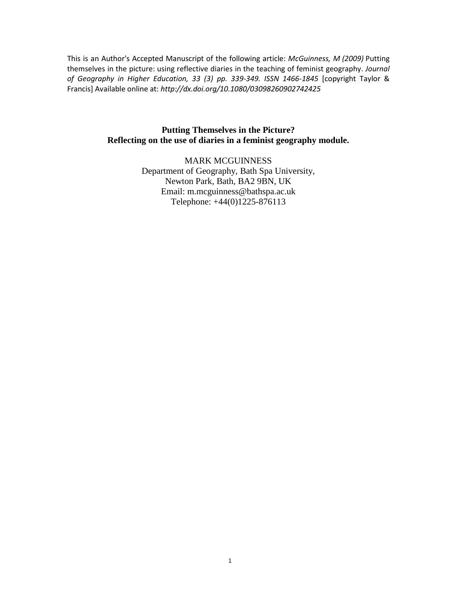This is an Author's Accepted Manuscript of the following article: *McGuinness, M (2009)* Putting themselves in the picture: using reflective diaries in the teaching of feminist geography. *Journal of Geography in Higher Education, 33 (3) pp. 339-349. ISSN 1466-1845* [copyright Taylor & Francis] Available online at: *http://dx.doi.org/10.1080/03098260902742425*

### **Putting Themselves in the Picture? Reflecting on the use of diaries in a feminist geography module.**

MARK MCGUINNESS Department of Geography, Bath Spa University, Newton Park, Bath, BA2 9BN, UK Email: m.mcguinness@bathspa.ac.uk Telephone: +44(0)1225-876113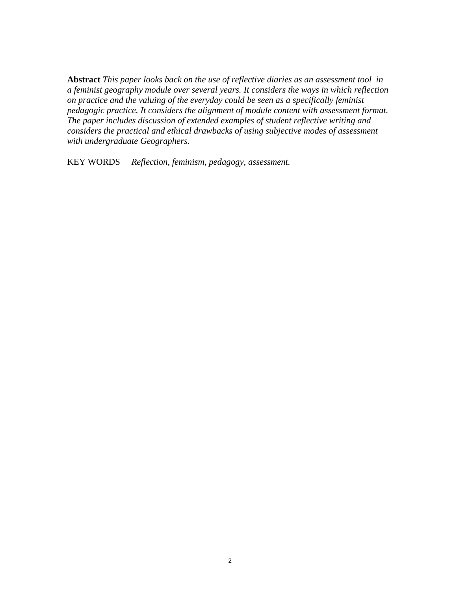**Abstract** *This paper looks back on the use of reflective diaries as an assessment tool in a feminist geography module over several years. It considers the ways in which reflection on practice and the valuing of the everyday could be seen as a specifically feminist pedagogic practice. It considers the alignment of module content with assessment format. The paper includes discussion of extended examples of student reflective writing and considers the practical and ethical drawbacks of using subjective modes of assessment with undergraduate Geographers.* 

KEY WORDS *Reflection, feminism, pedagogy, assessment.*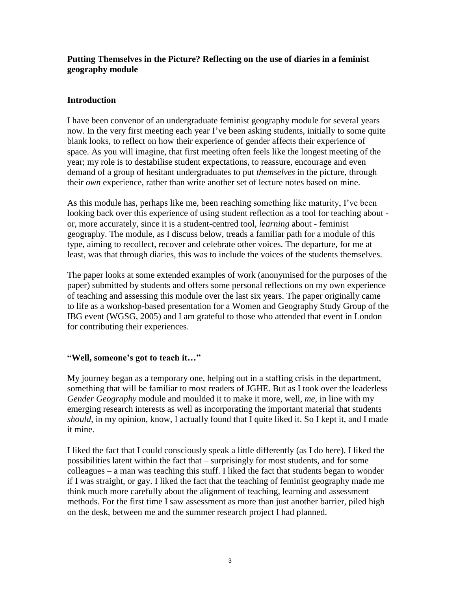# **Putting Themselves in the Picture? Reflecting on the use of diaries in a feminist geography module**

# **Introduction**

I have been convenor of an undergraduate feminist geography module for several years now. In the very first meeting each year I've been asking students, initially to some quite blank looks, to reflect on how their experience of gender affects their experience of space. As you will imagine, that first meeting often feels like the longest meeting of the year; my role is to destabilise student expectations, to reassure, encourage and even demand of a group of hesitant undergraduates to put *themselves* in the picture, through their *own* experience, rather than write another set of lecture notes based on mine.

As this module has, perhaps like me, been reaching something like maturity, I've been looking back over this experience of using student reflection as a tool for teaching about or, more accurately, since it is a student-centred tool, *learning* about - feminist geography. The module, as I discuss below, treads a familiar path for a module of this type, aiming to recollect, recover and celebrate other voices. The departure, for me at least, was that through diaries, this was to include the voices of the students themselves.

The paper looks at some extended examples of work (anonymised for the purposes of the paper) submitted by students and offers some personal reflections on my own experience of teaching and assessing this module over the last six years. The paper originally came to life as a workshop-based presentation for a Women and Geography Study Group of the IBG event (WGSG, 2005) and I am grateful to those who attended that event in London for contributing their experiences.

## **"Well, someone's got to teach it…"**

My journey began as a temporary one, helping out in a staffing crisis in the department, something that will be familiar to most readers of JGHE. But as I took over the leaderless *Gender Geography* module and moulded it to make it more, well, *me*, in line with my emerging research interests as well as incorporating the important material that students *should,* in my opinion, know, I actually found that I quite liked it. So I kept it, and I made it mine.

I liked the fact that I could consciously speak a little differently (as I do here). I liked the possibilities latent within the fact that – surprisingly for most students, and for some colleagues – a man was teaching this stuff. I liked the fact that students began to wonder if I was straight, or gay. I liked the fact that the teaching of feminist geography made me think much more carefully about the alignment of teaching, learning and assessment methods. For the first time I saw assessment as more than just another barrier, piled high on the desk, between me and the summer research project I had planned.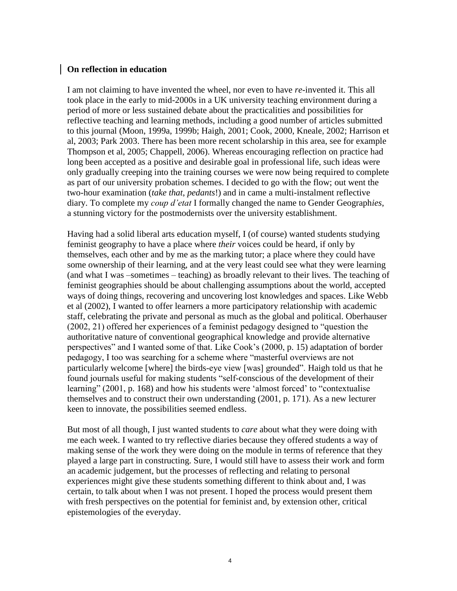### **On reflection in education**

I am not claiming to have invented the wheel, nor even to have *re*-invented it. This all took place in the early to mid-2000s in a UK university teaching environment during a period of more or less sustained debate about the practicalities and possibilities for reflective teaching and learning methods, including a good number of articles submitted to this journal (Moon, 1999a, 1999b; Haigh, 2001; Cook, 2000, Kneale, 2002; Harrison et al, 2003; Park 2003. There has been more recent scholarship in this area, see for example Thompson et al, 2005; Chappell, 2006). Whereas encouraging reflection on practice had long been accepted as a positive and desirable goal in professional life, such ideas were only gradually creeping into the training courses we were now being required to complete as part of our university probation schemes. I decided to go with the flow; out went the two-hour examination (*take that*, *pedants*!) and in came a multi-instalment reflective diary. To complete my *coup d'etat* I formally changed the name to Gender Geograph*ies*, a stunning victory for the postmodernists over the university establishment.

Having had a solid liberal arts education myself, I (of course) wanted students studying feminist geography to have a place where *their* voices could be heard, if only by themselves, each other and by me as the marking tutor; a place where they could have some ownership of their learning, and at the very least could see what they were learning (and what I was –sometimes – teaching) as broadly relevant to their lives. The teaching of feminist geographies should be about challenging assumptions about the world, accepted ways of doing things, recovering and uncovering lost knowledges and spaces. Like Webb et al (2002), I wanted to offer learners a more participatory relationship with academic staff, celebrating the private and personal as much as the global and political. Oberhauser (2002, 21) offered her experiences of a feminist pedagogy designed to "question the authoritative nature of conventional geographical knowledge and provide alternative perspectives" and I wanted some of that. Like Cook's (2000, p. 15) adaptation of border pedagogy, I too was searching for a scheme where "masterful overviews are not particularly welcome [where] the birds-eye view [was] grounded". Haigh told us that he found journals useful for making students "self-conscious of the development of their learning" (2001, p. 168) and how his students were 'almost forced' to "contextualise" themselves and to construct their own understanding (2001, p. 171). As a new lecturer keen to innovate, the possibilities seemed endless.

But most of all though, I just wanted students to *care* about what they were doing with me each week. I wanted to try reflective diaries because they offered students a way of making sense of the work they were doing on the module in terms of reference that they played a large part in constructing. Sure, I would still have to assess their work and form an academic judgement, but the processes of reflecting and relating to personal experiences might give these students something different to think about and, I was certain, to talk about when I was not present. I hoped the process would present them with fresh perspectives on the potential for feminist and, by extension other, critical epistemologies of the everyday.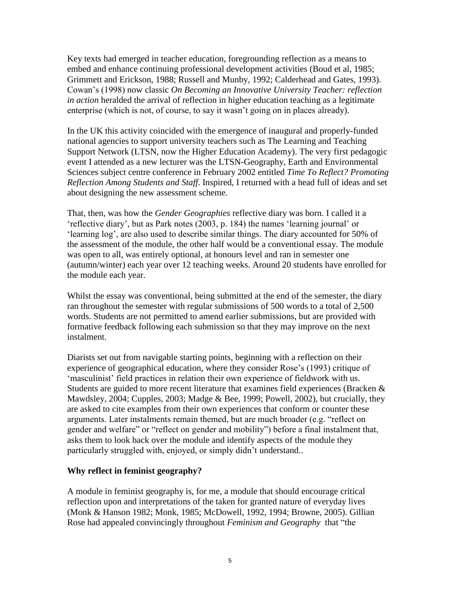Key texts had emerged in teacher education, foregrounding reflection as a means to embed and enhance continuing professional development activities (Boud et al, 1985; Grimmett and Erickson, 1988; Russell and Munby, 1992; Calderhead and Gates, 1993). Cowan's (1998) now classic *On Becoming an Innovative University Teacher: reflection in action* heralded the arrival of reflection in higher education teaching as a legitimate enterprise (which is not, of course, to say it wasn't going on in places already).

In the UK this activity coincided with the emergence of inaugural and properly-funded national agencies to support university teachers such as The Learning and Teaching Support Network (LTSN, now the Higher Education Academy). The very first pedagogic event I attended as a new lecturer was the LTSN-Geography, Earth and Environmental Sciences subject centre conference in February 2002 entitled *Time To Reflect? Promoting Reflection Among Students and Staff*. Inspired, I returned with a head full of ideas and set about designing the new assessment scheme.

That, then, was how the *Gender Geographies* reflective diary was born. I called it a 'reflective diary', but as Park notes (2003, p. 184) the names 'learning journal' or 'learning log', are also used to describe similar things. The diary accounted for 50% of the assessment of the module, the other half would be a conventional essay. The module was open to all, was entirely optional, at honours level and ran in semester one (autumn/winter) each year over 12 teaching weeks. Around 20 students have enrolled for the module each year.

Whilst the essay was conventional, being submitted at the end of the semester, the diary ran throughout the semester with regular submissions of 500 words to a total of 2,500 words. Students are not permitted to amend earlier submissions, but are provided with formative feedback following each submission so that they may improve on the next instalment.

Diarists set out from navigable starting points, beginning with a reflection on their experience of geographical education, where they consider Rose's (1993) critique of 'masculinist' field practices in relation their own experience of fieldwork with us. Students are guided to more recent literature that examines field experiences (Bracken & Mawdsley, 2004; Cupples, 2003; Madge & Bee, 1999; Powell, 2002), but crucially, they are asked to cite examples from their own experiences that conform or counter these arguments. Later instalments remain themed, but are much broader (e.g. "reflect on gender and welfare" or "reflect on gender and mobility") before a final instalment that, asks them to look back over the module and identify aspects of the module they particularly struggled with, enjoyed, or simply didn't understand..

## **Why reflect in feminist geography?**

A module in feminist geography is, for me, a module that should encourage critical reflection upon and interpretations of the taken for granted nature of everyday lives (Monk & Hanson 1982; Monk, 1985; McDowell, 1992, 1994; Browne, 2005). Gillian Rose had appealed convincingly throughout *Feminism and Geography* that "the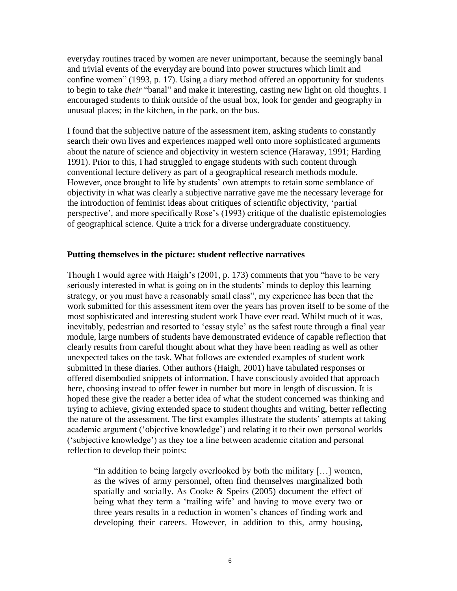everyday routines traced by women are never unimportant, because the seemingly banal and trivial events of the everyday are bound into power structures which limit and confine women" (1993, p. 17). Using a diary method offered an opportunity for students to begin to take *their* "banal" and make it interesting, casting new light on old thoughts. I encouraged students to think outside of the usual box, look for gender and geography in unusual places; in the kitchen, in the park, on the bus.

I found that the subjective nature of the assessment item, asking students to constantly search their own lives and experiences mapped well onto more sophisticated arguments about the nature of science and objectivity in western science (Haraway, 1991; Harding 1991). Prior to this, I had struggled to engage students with such content through conventional lecture delivery as part of a geographical research methods module. However, once brought to life by students' own attempts to retain some semblance of objectivity in what was clearly a subjective narrative gave me the necessary leverage for the introduction of feminist ideas about critiques of scientific objectivity, 'partial perspective', and more specifically Rose's (1993) critique of the dualistic epistemologies of geographical science. Quite a trick for a diverse undergraduate constituency.

#### **Putting themselves in the picture: student reflective narratives**

Though I would agree with Haigh's (2001, p. 173) comments that you "have to be very seriously interested in what is going on in the students' minds to deploy this learning strategy, or you must have a reasonably small class", my experience has been that the work submitted for this assessment item over the years has proven itself to be some of the most sophisticated and interesting student work I have ever read. Whilst much of it was, inevitably, pedestrian and resorted to 'essay style' as the safest route through a final year module, large numbers of students have demonstrated evidence of capable reflection that clearly results from careful thought about what they have been reading as well as other unexpected takes on the task. What follows are extended examples of student work submitted in these diaries. Other authors (Haigh, 2001) have tabulated responses or offered disembodied snippets of information. I have consciously avoided that approach here, choosing instead to offer fewer in number but more in length of discussion. It is hoped these give the reader a better idea of what the student concerned was thinking and trying to achieve, giving extended space to student thoughts and writing, better reflecting the nature of the assessment. The first examples illustrate the students' attempts at taking academic argument ('objective knowledge') and relating it to their own personal worlds ('subjective knowledge') as they toe a line between academic citation and personal reflection to develop their points:

"In addition to being largely overlooked by both the military […] women, as the wives of army personnel, often find themselves marginalized both spatially and socially. As Cooke & Speirs (2005) document the effect of being what they term a 'trailing wife' and having to move every two or three years results in a reduction in women's chances of finding work and developing their careers. However, in addition to this, army housing,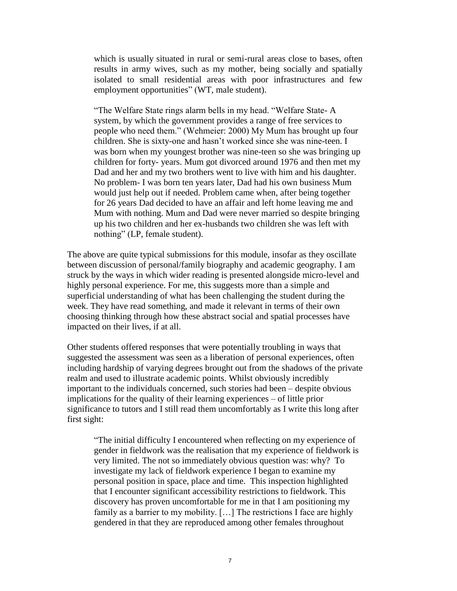which is usually situated in rural or semi-rural areas close to bases, often results in army wives, such as my mother, being socially and spatially isolated to small residential areas with poor infrastructures and few employment opportunities" (WT, male student).

"The Welfare State rings alarm bells in my head. "Welfare State- A system, by which the government provides a range of free services to people who need them." (Wehmeier: 2000) My Mum has brought up four children. She is sixty-one and hasn't worked since she was nine-teen. I was born when my youngest brother was nine-teen so she was bringing up children for forty- years. Mum got divorced around 1976 and then met my Dad and her and my two brothers went to live with him and his daughter. No problem- I was born ten years later, Dad had his own business Mum would just help out if needed. Problem came when, after being together for 26 years Dad decided to have an affair and left home leaving me and Mum with nothing. Mum and Dad were never married so despite bringing up his two children and her ex-husbands two children she was left with nothing" (LP, female student).

The above are quite typical submissions for this module, insofar as they oscillate between discussion of personal/family biography and academic geography. I am struck by the ways in which wider reading is presented alongside micro-level and highly personal experience. For me, this suggests more than a simple and superficial understanding of what has been challenging the student during the week. They have read something, and made it relevant in terms of their own choosing thinking through how these abstract social and spatial processes have impacted on their lives, if at all.

Other students offered responses that were potentially troubling in ways that suggested the assessment was seen as a liberation of personal experiences, often including hardship of varying degrees brought out from the shadows of the private realm and used to illustrate academic points. Whilst obviously incredibly important to the individuals concerned, such stories had been – despite obvious implications for the quality of their learning experiences – of little prior significance to tutors and I still read them uncomfortably as I write this long after first sight:

"The initial difficulty I encountered when reflecting on my experience of gender in fieldwork was the realisation that my experience of fieldwork is very limited. The not so immediately obvious question was: why? To investigate my lack of fieldwork experience I began to examine my personal position in space, place and time. This inspection highlighted that I encounter significant accessibility restrictions to fieldwork. This discovery has proven uncomfortable for me in that I am positioning my family as a barrier to my mobility. [...] The restrictions I face are highly gendered in that they are reproduced among other females throughout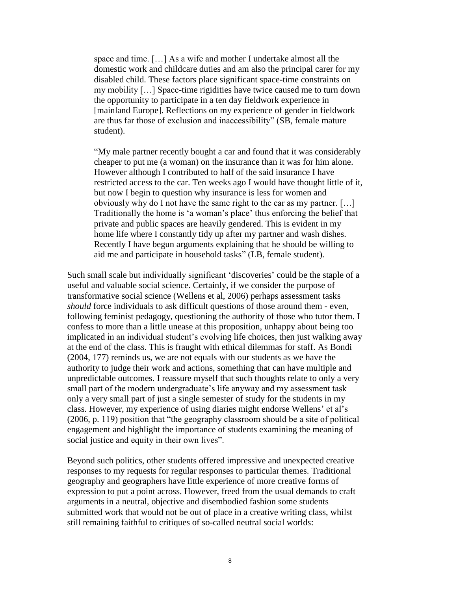space and time. […] As a wife and mother I undertake almost all the domestic work and childcare duties and am also the principal carer for my disabled child. These factors place significant space-time constraints on my mobility […] Space-time rigidities have twice caused me to turn down the opportunity to participate in a ten day fieldwork experience in [mainland Europe]. Reflections on my experience of gender in fieldwork are thus far those of exclusion and inaccessibility" (SB, female mature student).

"My male partner recently bought a car and found that it was considerably cheaper to put me (a woman) on the insurance than it was for him alone. However although I contributed to half of the said insurance I have restricted access to the car. Ten weeks ago I would have thought little of it, but now I begin to question why insurance is less for women and obviously why do I not have the same right to the car as my partner. […] Traditionally the home is 'a woman's place' thus enforcing the belief that private and public spaces are heavily gendered. This is evident in my home life where I constantly tidy up after my partner and wash dishes. Recently I have begun arguments explaining that he should be willing to aid me and participate in household tasks" (LB, female student).

Such small scale but individually significant 'discoveries' could be the staple of a useful and valuable social science. Certainly, if we consider the purpose of transformative social science (Wellens et al, 2006) perhaps assessment tasks *should* force individuals to ask difficult questions of those around them - even, following feminist pedagogy, questioning the authority of those who tutor them. I confess to more than a little unease at this proposition, unhappy about being too implicated in an individual student's evolving life choices, then just walking away at the end of the class. This is fraught with ethical dilemmas for staff. As Bondi (2004, 177) reminds us, we are not equals with our students as we have the authority to judge their work and actions, something that can have multiple and unpredictable outcomes. I reassure myself that such thoughts relate to only a very small part of the modern undergraduate's life anyway and my assessment task only a very small part of just a single semester of study for the students in my class. However, my experience of using diaries might endorse Wellens' et al's (2006, p. 119) position that "the geography classroom should be a site of political engagement and highlight the importance of students examining the meaning of social justice and equity in their own lives".

Beyond such politics, other students offered impressive and unexpected creative responses to my requests for regular responses to particular themes. Traditional geography and geographers have little experience of more creative forms of expression to put a point across. However, freed from the usual demands to craft arguments in a neutral, objective and disembodied fashion some students submitted work that would not be out of place in a creative writing class, whilst still remaining faithful to critiques of so-called neutral social worlds: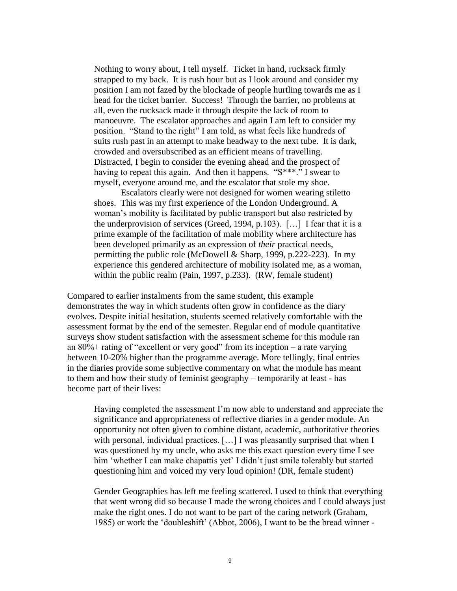Nothing to worry about, I tell myself. Ticket in hand, rucksack firmly strapped to my back. It is rush hour but as I look around and consider my position I am not fazed by the blockade of people hurtling towards me as I head for the ticket barrier. Success! Through the barrier, no problems at all, even the rucksack made it through despite the lack of room to manoeuvre. The escalator approaches and again I am left to consider my position. "Stand to the right" I am told, as what feels like hundreds of suits rush past in an attempt to make headway to the next tube. It is dark, crowded and oversubscribed as an efficient means of travelling. Distracted, I begin to consider the evening ahead and the prospect of having to repeat this again. And then it happens. "S\*\*\*." I swear to myself, everyone around me, and the escalator that stole my shoe.

Escalators clearly were not designed for women wearing stiletto shoes. This was my first experience of the London Underground. A woman's mobility is facilitated by public transport but also restricted by the underprovision of services (Greed, 1994, p.103). […] I fear that it is a prime example of the facilitation of male mobility where architecture has been developed primarily as an expression of *their* practical needs, permitting the public role (McDowell & Sharp, 1999, p.222-223). In my experience this gendered architecture of mobility isolated me, as a woman, within the public realm (Pain, 1997, p.233). (RW, female student)

Compared to earlier instalments from the same student, this example demonstrates the way in which students often grow in confidence as the diary evolves. Despite initial hesitation, students seemed relatively comfortable with the assessment format by the end of the semester. Regular end of module quantitative surveys show student satisfaction with the assessment scheme for this module ran an 80%+ rating of "excellent or very good" from its inception – a rate varying between 10-20% higher than the programme average. More tellingly, final entries in the diaries provide some subjective commentary on what the module has meant to them and how their study of feminist geography – temporarily at least - has become part of their lives:

Having completed the assessment I'm now able to understand and appreciate the significance and appropriateness of reflective diaries in a gender module. An opportunity not often given to combine distant, academic, authoritative theories with personal, individual practices. [...] I was pleasantly surprised that when I was questioned by my uncle, who asks me this exact question every time I see him 'whether I can make chapattis yet' I didn't just smile tolerably but started questioning him and voiced my very loud opinion! (DR, female student)

Gender Geographies has left me feeling scattered. I used to think that everything that went wrong did so because I made the wrong choices and I could always just make the right ones. I do not want to be part of the caring network (Graham, 1985) or work the 'doubleshift' (Abbot, 2006), I want to be the bread winner -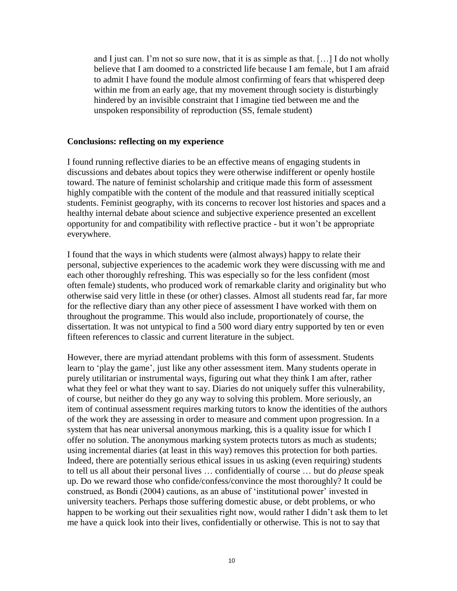and I just can. I'm not so sure now, that it is as simple as that. […] I do not wholly believe that I am doomed to a constricted life because I am female, but I am afraid to admit I have found the module almost confirming of fears that whispered deep within me from an early age, that my movement through society is disturbingly hindered by an invisible constraint that I imagine tied between me and the unspoken responsibility of reproduction (SS, female student)

#### **Conclusions: reflecting on my experience**

I found running reflective diaries to be an effective means of engaging students in discussions and debates about topics they were otherwise indifferent or openly hostile toward. The nature of feminist scholarship and critique made this form of assessment highly compatible with the content of the module and that reassured initially sceptical students. Feminist geography, with its concerns to recover lost histories and spaces and a healthy internal debate about science and subjective experience presented an excellent opportunity for and compatibility with reflective practice - but it won't be appropriate everywhere.

I found that the ways in which students were (almost always) happy to relate their personal, subjective experiences to the academic work they were discussing with me and each other thoroughly refreshing. This was especially so for the less confident (most often female) students, who produced work of remarkable clarity and originality but who otherwise said very little in these (or other) classes. Almost all students read far, far more for the reflective diary than any other piece of assessment I have worked with them on throughout the programme. This would also include, proportionately of course, the dissertation. It was not untypical to find a 500 word diary entry supported by ten or even fifteen references to classic and current literature in the subject.

However, there are myriad attendant problems with this form of assessment. Students learn to 'play the game', just like any other assessment item. Many students operate in purely utilitarian or instrumental ways, figuring out what they think I am after, rather what they feel or what they want to say. Diaries do not uniquely suffer this vulnerability, of course, but neither do they go any way to solving this problem. More seriously, an item of continual assessment requires marking tutors to know the identities of the authors of the work they are assessing in order to measure and comment upon progression. In a system that has near universal anonymous marking, this is a quality issue for which I offer no solution. The anonymous marking system protects tutors as much as students; using incremental diaries (at least in this way) removes this protection for both parties. Indeed, there are potentially serious ethical issues in us asking (even requiring) students to tell us all about their personal lives … confidentially of course … but do *please* speak up. Do we reward those who confide/confess/convince the most thoroughly? It could be construed, as Bondi (2004) cautions, as an abuse of 'institutional power' invested in university teachers. Perhaps those suffering domestic abuse, or debt problems, or who happen to be working out their sexualities right now, would rather I didn't ask them to let me have a quick look into their lives, confidentially or otherwise. This is not to say that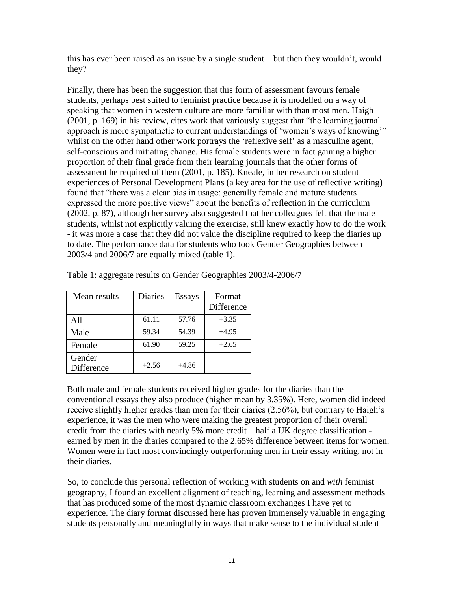this has ever been raised as an issue by a single student – but then they wouldn't, would they?

Finally, there has been the suggestion that this form of assessment favours female students, perhaps best suited to feminist practice because it is modelled on a way of speaking that women in western culture are more familiar with than most men. Haigh (2001, p. 169) in his review, cites work that variously suggest that "the learning journal approach is more sympathetic to current understandings of 'women's ways of knowing'" whilst on the other hand other work portrays the 'reflexive self' as a masculine agent, self-conscious and initiating change. His female students were in fact gaining a higher proportion of their final grade from their learning journals that the other forms of assessment he required of them (2001, p. 185). Kneale, in her research on student experiences of Personal Development Plans (a key area for the use of reflective writing) found that "there was a clear bias in usage: generally female and mature students expressed the more positive views" about the benefits of reflection in the curriculum (2002, p. 87), although her survey also suggested that her colleagues felt that the male students, whilst not explicitly valuing the exercise, still knew exactly how to do the work - it was more a case that they did not value the discipline required to keep the diaries up to date. The performance data for students who took Gender Geographies between 2003/4 and 2006/7 are equally mixed (table 1).

| Mean results         | Diaries | <b>Essays</b> | Format<br><b>Difference</b> |
|----------------------|---------|---------------|-----------------------------|
| A11                  | 61.11   | 57.76         | $+3.35$                     |
| Male                 | 59.34   | 54.39         | $+4.95$                     |
| Female               | 61.90   | 59.25         | $+2.65$                     |
| Gender<br>Difference | $+2.56$ | $+4.86$       |                             |

Table 1: aggregate results on Gender Geographies 2003/4-2006/7

Both male and female students received higher grades for the diaries than the conventional essays they also produce (higher mean by 3.35%). Here, women did indeed receive slightly higher grades than men for their diaries (2.56%), but contrary to Haigh's experience, it was the men who were making the greatest proportion of their overall credit from the diaries with nearly 5% more credit – half a UK degree classification earned by men in the diaries compared to the 2.65% difference between items for women. Women were in fact most convincingly outperforming men in their essay writing, not in their diaries.

So, to conclude this personal reflection of working with students on and *with* feminist geography, I found an excellent alignment of teaching, learning and assessment methods that has produced some of the most dynamic classroom exchanges I have yet to experience. The diary format discussed here has proven immensely valuable in engaging students personally and meaningfully in ways that make sense to the individual student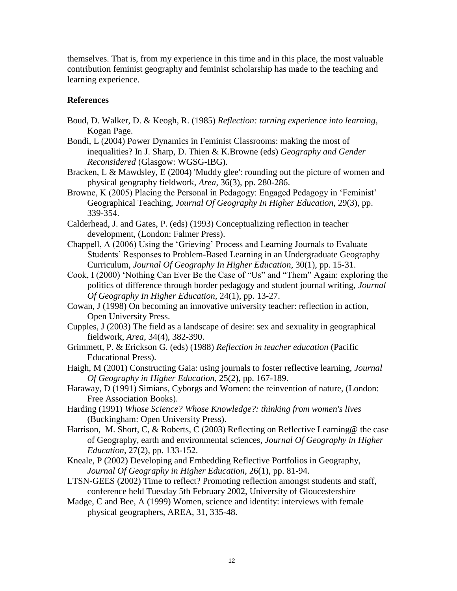themselves. That is, from my experience in this time and in this place, the most valuable contribution feminist geography and feminist scholarship has made to the teaching and learning experience.

# **References**

- Boud, D. Walker, D. & Keogh, R. (1985) *Reflection: turning experience into learning*, Kogan Page.
- Bondi, L (2004) Power Dynamics in Feminist Classrooms: making the most of inequalities? In J. Sharp, D. Thien & K.Browne (eds) *Geography and Gender Reconsidered* (Glasgow: WGSG-IBG).
- Bracken, L & Mawdsley, E (2004) 'Muddy glee': rounding out the picture of women and physical geography fieldwork, *Area*, 36(3), pp. 280-286.
- Browne, K (2005) Placing the Personal in Pedagogy: Engaged Pedagogy in 'Feminist' Geographical Teaching, *Journal Of Geography In Higher Education*, 29(3), pp. 339-354.
- Calderhead, J. and Gates, P. (eds) (1993) Conceptualizing reflection in teacher development, (London: Falmer Press).
- Chappell, A (2006) Using the 'Grieving' Process and Learning Journals to Evaluate Students' Responses to Problem-Based Learning in an Undergraduate Geography Curriculum, *Journal Of Geography In Higher Education*, 30(1), pp. 15-31.
- Cook, I (2000) 'Nothing Can Ever Be the Case of "Us" and "Them" Again: exploring the politics of difference through border pedagogy and student journal writing, *Journal Of Geography In Higher Education*, 24(1), pp. 13-27.
- Cowan, J (1998) On becoming an innovative university teacher: reflection in action, Open University Press.
- Cupples, J (2003) The field as a landscape of desire: sex and sexuality in geographical fieldwork, *Area*, 34(4), 382-390.
- Grimmett, P. & Erickson G. (eds) (1988) *Reflection in teacher education* (Pacific Educational Press).
- Haigh, M (2001) Constructing Gaia: using journals to foster reflective learning, *Journal Of Geography in Higher Education*, 25(2), pp. 167-189.
- Haraway, D (1991) Simians, Cyborgs and Women: the reinvention of nature, (London: Free Association Books).
- Harding (1991) *Whose Science? Whose Knowledge?: thinking from women's lives* (Buckingham: Open University Press).
- Harrison, M. Short, C, & Roberts, C (2003) Reflecting on Reflective Learning @ the case of Geography, earth and environmental sciences, *Journal Of Geography in Higher Education*, 27(2), pp. 133-152.
- Kneale, P (2002) Developing and Embedding Reflective Portfolios in Geography, *Journal Of Geography in Higher Education*, 26(1), pp. 81-94.
- LTSN-GEES (2002) Time to reflect? Promoting reflection amongst students and staff, conference held Tuesday 5th February 2002, University of Gloucestershire
- Madge, C and Bee, A (1999) Women, science and identity: interviews with female physical geographers, AREA, 31, 335-48.